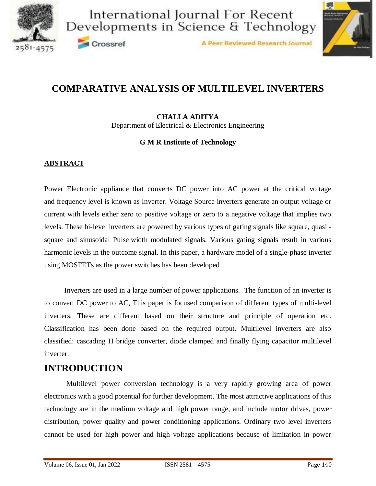



A Peer Reviewed Research Journal

## **COMPARATIVE ANALYSIS OF MULTILEVEL INVERTERS**

**CHALLA ADITYA** Department of Electrical & Electronics Engineering

#### **G M R Institute of Technology**

#### **ABSTRACT**

Crossref

Power Electronic appliance that converts DC power into AC power at the critical voltage and frequency level is known as Inverter. Voltage Source inverters generate an output voltage or current with levels either zero to positive voltage or zero to a negative voltage that implies two levels. These bi-level inverters are powered by various types of gating signals like square, quasi square and sinusoidal Pulse width modulated signals. Various gating signals result in various harmonic levels in the outcome signal. In this paper, a hardware model of a single-phase inverter using MOSFETs as the power switches has been developed

 Inverters are used in a large number of power applications. The function of an inverter is to convert DC power to AC, This paper is focused comparison of different types of multi-level inverters. These are different based on their structure and principle of operation etc. Classification has been done based on the required output. Multilevel inverters are also classified: cascading H bridge converter, diode clamped and finally flying capacitor multilevel inverter.

### **INTRODUCTION**

Multilevel power conversion technology is a very rapidly growing area of power electronics with a good potential for further development. The most attractive applications of this technology are in the medium voltage and high power range, and include motor drives, power distribution, power quality and power conditioning applications. Ordinary two level inverters cannot be used for high power and high voltage applications because of limitation in power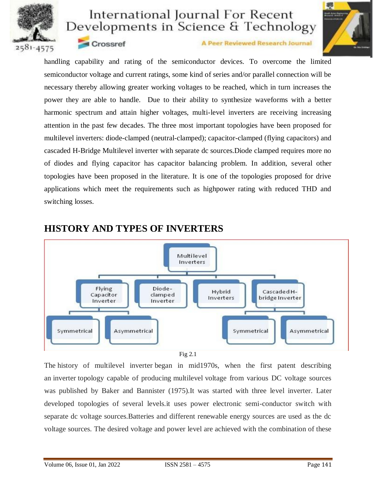



Crossref

A Peer Reviewed Research Journal

handling capability and rating of the semiconductor devices. To overcome the limited semiconductor voltage and current ratings, some kind of series and/or parallel connection will be necessary thereby allowing greater working voltages to be reached, which in turn increases the power they are able to handle. Due to their ability to synthesize waveforms with a better harmonic spectrum and attain higher voltages, multi-level inverters are receiving increasing attention in the past few decades. The three most important topologies have been proposed for multilevel inverters: diode-clamped (neutral-clamped); capacitor-clamped (flying capacitors) and cascaded H-Bridge Multilevel inverter with separate dc sources.Diode clamped requires more no of diodes and flying capacitor has capacitor balancing problem. In addition, several other topologies have been proposed in the literature. It is one of the topologies proposed for drive applications which meet the requirements such as highpower rating with reduced THD and switching losses.



### **HISTORY AND TYPES OF INVERTERS**

Fig 2.1

The history of multilevel inverter began in mid1970s, when the first patent describing an inverter topology capable of producing multilevel voltage from various DC voltage sources was published by Baker and Bannister (1975).It was started with three level inverter. Later developed topologies of several levels.it uses power electronic semi-conductor switch with separate dc voltage sources.Batteries and different renewable energy sources are used as the dc voltage sources. The desired voltage and power level are achieved with the combination of these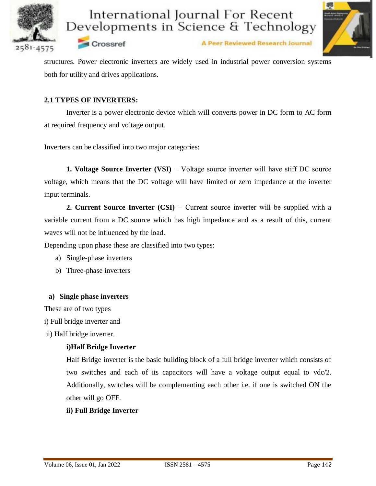



Crossref

A Peer Reviewed Research Journal

structures. Power electronic inverters are widely used in industrial power conversion systems both for utility and drives applications.

#### **2.1 TYPES OF INVERTERS:**

Inverter is a power electronic device which will converts power in DC form to AC form at required frequency and voltage output.

Inverters can be classified into two major categories:

**1. Voltage Source Inverter (VSI)** − Voltage source inverter will have stiff DC source voltage, which means that the DC voltage will have limited or zero impedance at the inverter input terminals.

**2. Current Source Inverter (CSI)** − Current source inverter will be supplied with a variable current from a DC source which has high impedance and as a result of this, current waves will not be influenced by the load.

Depending upon phase these are classified into two types:

- a) Single-phase inverters
- b) Three-phase inverters

#### **a) Single phase inverters**

These are of two types

i) Full bridge inverter and

ii) Half bridge inverter.

#### **i)Half Bridge Inverter**

Half Bridge inverter is the basic building block of a full bridge inverter which consists of two switches and each of its capacitors will have a voltage output equal to vdc/2. Additionally, switches will be complementing each other i.e. if one is switched ON the other will go OFF.

#### **ii) Full Bridge Inverter**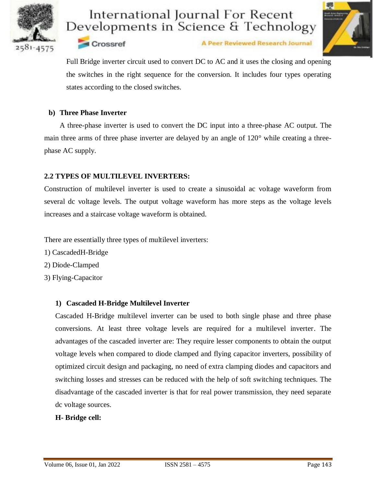





Full Bridge inverter circuit used to convert DC to AC and it uses the closing and opening the switches in the right sequence for the conversion. It includes four types operating states according to the closed switches.

#### **b) Three Phase Inverter**

Crossref

A three-phase inverter is used to convert the DC input into a three-phase AC output. The main three arms of three phase inverter are delayed by an angle of 120° while creating a threephase AC supply.

#### **2.2 TYPES OF MULTILEVEL INVERTERS:**

Construction of multilevel inverter is used to create a sinusoidal ac voltage waveform from several dc voltage levels. The output voltage waveform has more steps as the voltage levels increases and a staircase voltage waveform is obtained.

There are essentially three types of multilevel inverters:

- 1) CascadedH-Bridge
- 2) Diode-Clamped
- 3) Flying-Capacitor

#### **1) Cascaded H-Bridge Multilevel Inverter**

Cascaded H-Bridge multilevel inverter can be used to both single phase and three phase conversions. At least three voltage levels are required for a multilevel inverter. The advantages of the cascaded inverter are: They require lesser components to obtain the output voltage levels when compared to diode clamped and flying capacitor inverters, possibility of optimized circuit design and packaging, no need of extra clamping diodes and capacitors and switching losses and stresses can be reduced with the help of soft switching techniques. The disadvantage of the cascaded inverter is that for real power transmission, they need separate dc voltage sources.

#### **H- Bridge cell:**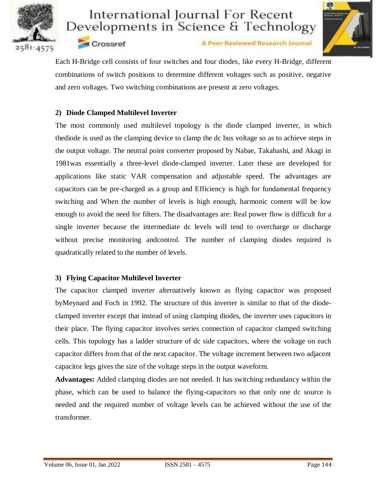



A Peer Reviewed Research Journal

Each H-Bridge cell consists of four switches and four diodes, like every H-Bridge, different combinations of switch positions to determine different voltages such as positive, negative and zero voltages. Two switching combinations are present at zero voltages.

#### **2) Diode Clamped Multilevel Inverter**

**Crossref** 

The most commonly used multilevel topology is the diode clamped inverter, in which thediode is used as the clamping device to clamp the dc bus voltage so as to achieve steps in the output voltage. The neutral point converter proposed by Nabae, Takahashi, and Akagi in 1981was essentially a three-level diode-clamped inverter. Later these are developed for applications like static VAR compensation and adjustable speed. The advantages are capacitors can be pre-charged as a group and Efficiency is high for fundamental frequency switching and When the number of levels is high enough, harmonic content will be low enough to avoid the need for filters. The disadvantages are: Real power flow is difficult for a single inverter because the intermediate dc levels will tend to overcharge or discharge without precise monitoring andcontrol. The number of clamping diodes required is quadratically related to the number of levels.

#### **3) Flying Capacitor Multilevel Inverter**

The capacitor clamped inverter alternatively known as flying capacitor was proposed byMeynard and Foch in 1992. The structure of this inverter is similar to that of the diodeclamped inverter except that instead of using clamping diodes, the inverter uses capacitors in their place. The flying capacitor involves series connection of capacitor clamped switching cells. This topology has a ladder structure of dc side capacitors, where the voltage on each capacitor differs from that of the next capacitor. The voltage increment between two adjacent capacitor legs gives the size of the voltage steps in the output waveform.

**Advantages:** Added clamping diodes are not needed. It has switching redundancy within the phase, which can be used to balance the flying-capacitors so that only one dc source is needed and the required number of voltage levels can be achieved without the use of the transformer.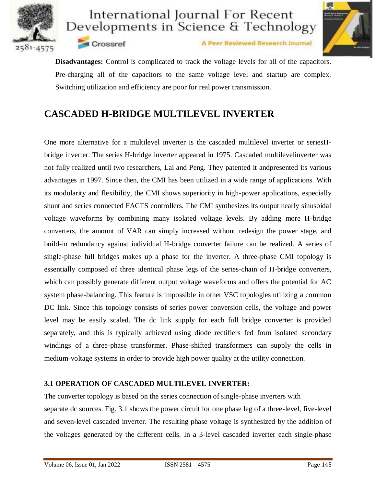



A Peer Reviewed Research Journal

**Disadvantages:** Control is complicated to track the voltage levels for all of the capacitors. Pre-charging all of the capacitors to the same voltage level and startup are complex. Switching utilization and efficiency are poor for real power transmission.

## **CASCADED H-BRIDGE MULTILEVEL INVERTER**

Crossref

One more alternative for a multilevel inverter is the cascaded multilevel inverter or seriesHbridge inverter. The series H-bridge inverter appeared in 1975. Cascaded multilevelinverter was not fully realized until two researchers, Lai and Peng. They patented it andpresented its various advantages in 1997. Since then, the CMI has been utilized in a wide range of applications. With its modularity and flexibility, the CMI shows superiority in high-power applications, especially shunt and series connected FACTS controllers. The CMI synthesizes its output nearly sinusoidal voltage waveforms by combining many isolated voltage levels. By adding more H-bridge converters, the amount of VAR can simply increased without redesign the power stage, and build-in redundancy against individual H-bridge converter failure can be realized. A series of single-phase full bridges makes up a phase for the inverter. A three-phase CMI topology is essentially composed of three identical phase legs of the series-chain of H-bridge converters, which can possibly generate different output voltage waveforms and offers the potential for AC system phase-balancing. This feature is impossible in other VSC topologies utilizing a common DC link. Since this topology consists of series power conversion cells, the voltage and power level may be easily scaled. The dc link supply for each full bridge converter is provided separately, and this is typically achieved using diode rectifiers fed from isolated secondary windings of a three-phase transformer. Phase-shifted transformers can supply the cells in medium-voltage systems in order to provide high power quality at the utility connection.

#### **3.1 OPERATION OF CASCADED MULTILEVEL INVERTER:**

The converter topology is based on the series connection of single-phase inverters with separate dc sources. Fig. 3.1 shows the power circuit for one phase leg of a three-level, five-level and seven-level cascaded inverter. The resulting phase voltage is synthesized by the addition of the voltages generated by the different cells. In a 3-level cascaded inverter each single-phase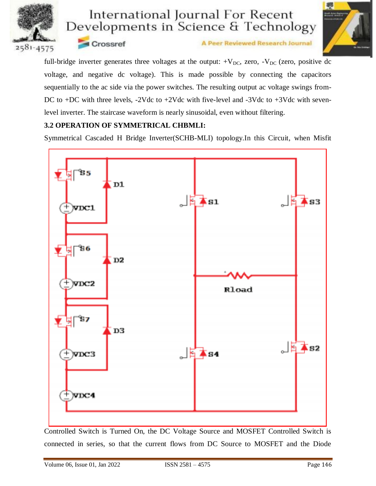



Crossref

A Peer Reviewed Research Journal

full-bridge inverter generates three voltages at the output:  $+V_{DC}$ , zero,  $-V_{DC}$  (zero, positive dc voltage, and negative dc voltage). This is made possible by connecting the capacitors sequentially to the ac side via the power switches. The resulting output ac voltage swings from-DC to +DC with three levels, -2Vdc to +2Vdc with five-level and -3Vdc to +3Vdc with sevenlevel inverter. The staircase waveform is nearly sinusoidal, even without filtering.

#### **3.2 OPERATION OF SYMMETRICAL CHBMLI:**

Symmetrical Cascaded H Bridge Inverter(SCHB-MLI) topology.In this Circuit, when Misfit



Controlled Switch is Turned On, the DC Voltage Source and MOSFET Controlled Switch is connected in series, so that the current flows from DC Source to MOSFET and the Diode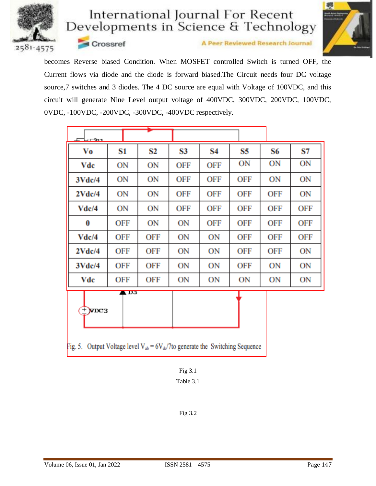



Crossref

A Peer Reviewed Research Journal

becomes Reverse biased Condition. When MOSFET controlled Switch is turned OFF, the Current flows via diode and the diode is forward biased.The Circuit needs four DC voltage source,7 switches and 3 diodes. The 4 DC source are equal with Voltage of 100VDC, and this circuit will generate Nine Level output voltage of 400VDC, 300VDC, 200VDC, 100VDC, 0VDC, -100VDC, -200VDC, -300VDC, -400VDC respectively.

| ⊏⊟⊏फेर                  |                   |            |            |     |     |     |     |
|-------------------------|-------------------|------------|------------|-----|-----|-----|-----|
| Vo                      | S1                | S2         | S3         | S4  | S5  | S6  | S7  |
| Vdc                     | ON                | ON         | OFF        | OFF | ON  | ON  | ON  |
| 3Vdc/4                  | ON                | ON         | <b>OFF</b> | OFF | OFF | ON  | ON  |
| 2Vdc/4                  | ON                | ON         | <b>OFF</b> | OFF | OFF | OFF | ON  |
| Vdc/4                   | ON                | ON         | OFF        | OFF | OFF | OFF | OFF |
| 0                       | OFF               | ON         | ON         | OFF | OFF | OFF | OFF |
| Vdc/4                   | OFF               | <b>OFF</b> | ON         | ON  | OFF | OFF | OFF |
| 2Vdc/4                  | OFF               | OFF        | ON         | ON  | OFF | OFF | ON  |
| 3Vdc/4                  | OFF               | <b>OFF</b> | ON         | ON  | OFF | ON  | ON  |
| Vdc                     | OFF               | OFF        | ON         | ON  | ON  | ON  | ON  |
| $+$ $\times$ $\times$ 3 | $\blacksquare$ D3 |            |            |     |     |     |     |

Fig. 5. Output Voltage level  $V_{ab} = 6V_{dc}/7$  to generate the Switching Sequence

Fig 3.2

Fig 3.1 Table 3.1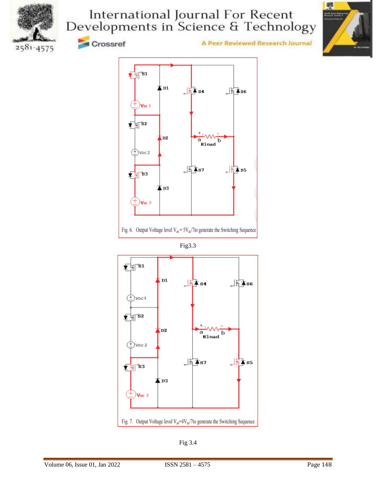



2581-4575



**A Peer Reviewed Research Journal** 



Fig. 6. Output Voltage level  $V_{ab} = 5V_{dc}/7$  to generate the Switching Sequence

Fig3.3



Fig 3.4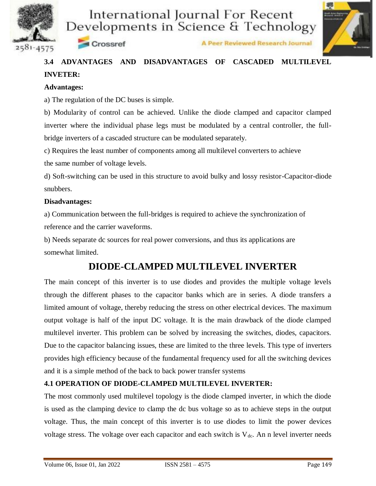



Crossref



## **3.4 ADVANTAGES AND DISADVANTAGES OF CASCADED MULTILEVEL INVETER:**

#### **Advantages:**

a) The regulation of the DC buses is simple.

b) Modularity of control can be achieved. Unlike the diode clamped and capacitor clamped inverter where the individual phase legs must be modulated by a central controller, the fullbridge inverters of a cascaded structure can be modulated separately.

c) Requires the least number of components among all multilevel converters to achieve

the same number of voltage levels.

d) Soft-switching can be used in this structure to avoid bulky and lossy resistor-Capacitor-diode snubbers.

#### **Disadvantages:**

a) Communication between the full-bridges is required to achieve the synchronization of reference and the carrier waveforms.

b) Needs separate dc sources for real power conversions, and thus its applications are somewhat limited.

### **DIODE-CLAMPED MULTILEVEL INVERTER**

The main concept of this inverter is to use diodes and provides the multiple voltage levels through the different phases to the capacitor banks which are in series. A diode transfers a limited amount of voltage, thereby reducing the stress on other electrical devices. The maximum output voltage is half of the input DC voltage. It is the main drawback of the diode clamped multilevel inverter. This problem can be solved by increasing the switches, diodes, capacitors. Due to the capacitor balancing issues, these are limited to the three levels. This type of inverters provides high efficiency because of the fundamental frequency used for all the switching devices and it is a simple method of the back to back power transfer systems

#### **4.1 OPERATION OF DIODE-CLAMPED MULTILEVEL INVERTER:**

The most commonly used multilevel topology is the diode clamped inverter, in which the diode is used as the clamping device to clamp the dc bus voltage so as to achieve steps in the output voltage. Thus, the main concept of this inverter is to use diodes to limit the power devices voltage stress. The voltage over each capacitor and each switch is  $V_{dc}$ . An n level inverter needs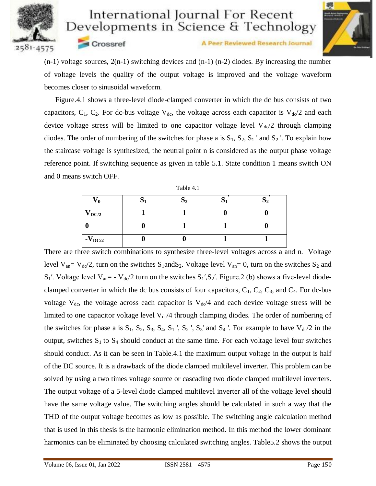

**Crossref** 

## International Journal For Recent Developments in Science & Technology



A Peer Reviewed Research Journal

(n-1) voltage sources, 2(n-1) switching devices and (n-1) (n-2) diodes. By increasing the number of voltage levels the quality of the output voltage is improved and the voltage waveform becomes closer to sinusoidal waveform.

 Figure.4.1 shows a three-level diode-clamped converter in which the dc bus consists of two capacitors,  $C_1$ ,  $C_2$ . For dc-bus voltage  $V_{dc}$ , the voltage across each capacitor is  $V_{dc}/2$  and each device voltage stress will be limited to one capacitor voltage level  $V_{dc}/2$  through clamping diodes. The order of numbering of the switches for phase a is  $S_1$ ,  $S_2$ ,  $S_1$  ' and  $S_2$  '. To explain how the staircase voltage is synthesized, the neutral point n is considered as the output phase voltage reference point. If switching sequence as given in table 5.1. State condition 1 means switch ON and 0 means switch OFF.

| Table 4. |  |
|----------|--|
|----------|--|

| V ()        | $\mathbf{D}2$ |  |
|-------------|---------------|--|
| $V_{DC/2}$  |               |  |
|             |               |  |
| $-V_{DC/2}$ |               |  |

There are three switch combinations to synthesize three-level voltages across a and n. Voltage level  $V_{an} = V_{dc}/2$ , turn on the switches  $S_1$ and $S_2$ . Voltage level  $V_{an} = 0$ , turn on the switches  $S_2$  and  $S_1'$ . Voltage level  $V_{an} = -V_{d} / 2$  turn on the switches  $S_1'$ ,  $S_2'$ . Figure. 2 (b) shows a five-level diodeclamped converter in which the dc bus consists of four capacitors,  $C_1$ ,  $C_2$ ,  $C_3$ , and  $C_4$ . For dc-bus voltage  $V_{dc}$ , the voltage across each capacitor is  $V_{dc}/4$  and each device voltage stress will be limited to one capacitor voltage level  $V_{dc}/4$  through clamping diodes. The order of numbering of the switches for phase a is  $S_1$ ,  $S_2$ ,  $S_3$ ,  $S_4$ ,  $S_1$ ',  $S_2$ ',  $S_3$ ' and  $S_4$ '. For example to have  $V_{d0}/2$  in the output, switches  $S_1$  to  $S_4$  should conduct at the same time. For each voltage level four switches should conduct. As it can be seen in Table.4.1 the maximum output voltage in the output is half of the DC source. It is a drawback of the diode clamped multilevel inverter. This problem can be solved by using a two times voltage source or cascading two diode clamped multilevel inverters. The output voltage of a 5-level diode clamped multilevel inverter all of the voltage level should have the same voltage value. The switching angles should be calculated in such a way that the THD of the output voltage becomes as low as possible. The switching angle calculation method that is used in this thesis is the harmonic elimination method. In this method the lower dominant harmonics can be eliminated by choosing calculated switching angles. Table5.2 shows the output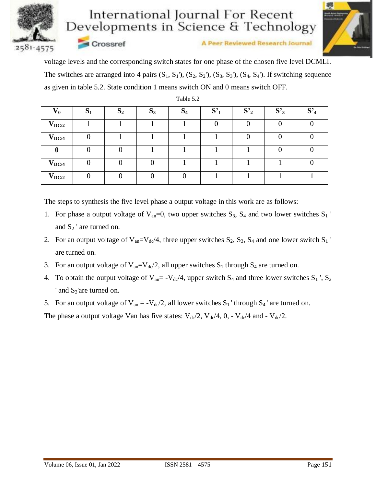

Crossref

# International Journal For Recent Developments in Science & Technology



**A Peer Reviewed Research Journal** 

voltage levels and the corresponding switch states for one phase of the chosen five level DCMLI. The switches are arranged into 4 pairs  $(S_1, S_1)$ ,  $(S_2, S_2)$ ,  $(S_3, S_3)$ ,  $(S_4, S_4)$ . If switching sequence as given in table 5.2. State condition 1 means switch ON and 0 means switch OFF.

| $\mathbf{V_0}$ | U<br>$\mathbf{D}$ | S <sub>2</sub> | $S_3$ | $\mathbf{C}$<br>$\mathbf{D}$ 4 | S <sup>2</sup> | $S'_2$ | S <sub>3</sub> | S' |
|----------------|-------------------|----------------|-------|--------------------------------|----------------|--------|----------------|----|
| $V_{DC/2}$     |                   |                |       |                                |                |        |                |    |
| $V_{DC/4}$     |                   |                |       |                                |                |        |                |    |
| 0              |                   |                |       |                                |                |        |                |    |
| $V_{DC/4}$     |                   |                |       |                                |                |        |                |    |
| $V_{DC/2}$     |                   |                |       |                                |                |        |                |    |

Table 5.2

The steps to synthesis the five level phase a output voltage in this work are as follows:

- 1. For phase a output voltage of  $V_{an}=0$ , two upper switches  $S_3$ ,  $S_4$  and two lower switches  $S_1$ and  $S_2$  ' are turned on.
- 2. For an output voltage of  $V_{an}=V_{dc}/4$ , three upper switches  $S_2$ ,  $S_3$ ,  $S_4$  and one lower switch  $S_1$ are turned on.
- 3. For an output voltage of  $V_{an}=V_{dc}/2$ , all upper switches  $S_1$  through  $S_4$  are turned on.
- 4. To obtain the output voltage of  $V_{an} = -V_{dc}/4$ , upper switch  $S_4$  and three lower switches  $S_1$ ',  $S_2$ ' and  $S_3$ 'are turned on.
- 5. For an output voltage of  $V_{an} = -V_{dc}/2$ , all lower switches  $S_1$ ' through  $S_4$ ' are turned on.

The phase a output voltage Van has five states:  $V_{dc}/2$ ,  $V_{dc}/4$ , 0, -  $V_{dc}/4$  and -  $V_{dc}/2$ .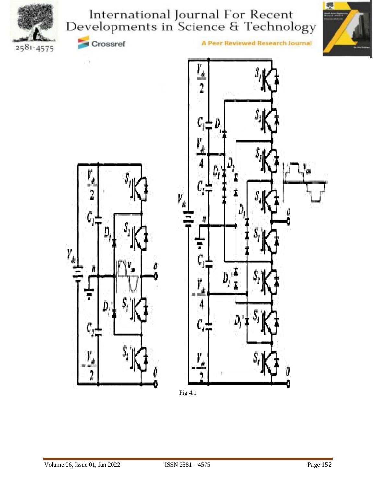





 $\mathbf{1}$ 

Crossref



A Peer Reviewed Research Journal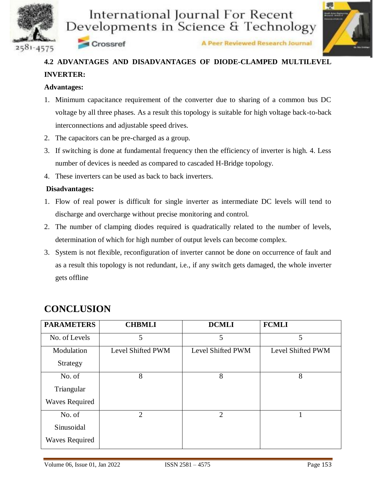



A Peer Reviewed Research Journal

## **4.2 ADVANTAGES AND DISADVANTAGES OF DIODE-CLAMPED MULTILEVEL INVERTER:**

#### **Advantages:**

- 1. Minimum capacitance requirement of the converter due to sharing of a common bus DC voltage by all three phases. As a result this topology is suitable for high voltage back-to-back interconnections and adjustable speed drives.
- 2. The capacitors can be pre-charged as a group.

crossref

- 3. If switching is done at fundamental frequency then the efficiency of inverter is high. 4. Less number of devices is needed as compared to cascaded H-Bridge topology.
- 4. These inverters can be used as back to back inverters.

#### **Disadvantages:**

- 1. Flow of real power is difficult for single inverter as intermediate DC levels will tend to discharge and overcharge without precise monitoring and control.
- 2. The number of clamping diodes required is quadratically related to the number of levels, determination of which for high number of output levels can become complex.
- 3. System is not flexible, reconfiguration of inverter cannot be done on occurrence of fault and as a result this topology is not redundant, i.e., if any switch gets damaged, the whole inverter gets offline

| <b>PARAMETERS</b>     | <b>CHBMLI</b>     | <b>DCMLI</b>      | <b>FCMLI</b>      |
|-----------------------|-------------------|-------------------|-------------------|
| No. of Levels         | 5                 | 5                 | 5                 |
| Modulation            | Level Shifted PWM | Level Shifted PWM | Level Shifted PWM |
| Strategy              |                   |                   |                   |
| No. of                | 8                 | 8                 | 8                 |
| Triangular            |                   |                   |                   |
| <b>Waves Required</b> |                   |                   |                   |
| No. of                | $\overline{2}$    | $\overline{2}$    |                   |
| Sinusoidal            |                   |                   |                   |
| <b>Waves Required</b> |                   |                   |                   |

## **CONCLUSION**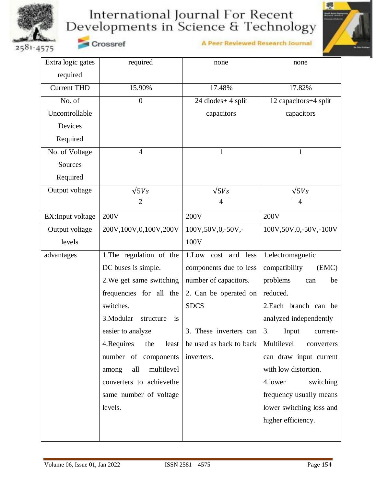

A Peer Reviewed Research Journal



2581-4575

Crossref

| Extra logic gates  | required                     | none                      | none                     |
|--------------------|------------------------------|---------------------------|--------------------------|
| required           |                              |                           |                          |
| <b>Current THD</b> | 15.90%                       | 17.48%                    | 17.82%                   |
| No. of             | $\overline{0}$               | 24 diodes+ 4 split        | 12 capacitors+4 split    |
| Uncontrollable     |                              | capacitors                | capacitors               |
| Devices            |                              |                           |                          |
| Required           |                              |                           |                          |
| No. of Voltage     | $\overline{4}$               | 1                         | 1                        |
| Sources            |                              |                           |                          |
| Required           |                              |                           |                          |
| Output voltage     | $\sqrt{5}Vs$                 | $\sqrt{5}Vs$              | $\sqrt{5}Vs$             |
|                    | $\overline{2}$               | 4                         | 4                        |
| EX:Input voltage   | 200V                         | 200V                      | 200V                     |
| Output voltage     | 200V, 100V, 0, 100V, 200V    | 100V,50V,0,-50V,-         | 100V,50V,0,-50V,-100V    |
| levels             |                              | 100V                      |                          |
| advantages         | 1. The regulation of the     | 1.Low<br>cost and<br>less | 1.electromagnetic        |
|                    | DC buses is simple.          | components due to less    | compatibility<br>(EMC)   |
|                    | 2. We get same switching     | number of capacitors.     | problems<br>be<br>can    |
|                    | frequencies for all the      | 2. Can be operated on     | reduced.                 |
|                    | switches.                    | <b>SDCS</b>               | 2. Each branch can be    |
|                    | 3.Modular<br>structure<br>is |                           | analyzed independently   |
|                    | easier to analyze            | 3. These inverters can    | Input<br>3.<br>current-  |
|                    | 4. Requires<br>the<br>least  | be used as back to back   | Multilevel<br>converters |
|                    | number of components         | inverters.                | can draw input current   |
|                    | multilevel<br>all<br>among   |                           | with low distortion.     |
|                    | converters to achievethe     |                           | 4.lower<br>switching     |
|                    | same number of voltage       |                           | frequency usually means  |
|                    | levels.                      |                           | lower switching loss and |
|                    |                              |                           | higher efficiency.       |
|                    |                              |                           |                          |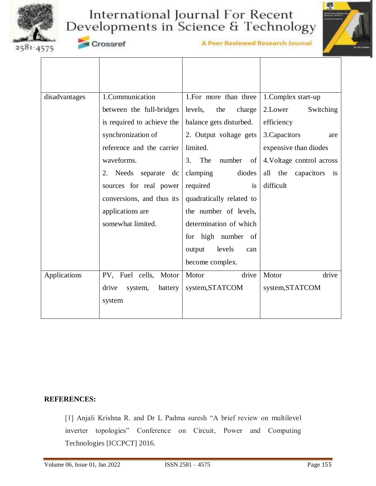



2581-4575

Crossref

A Peer Reviewed Research Journal

| disadvantages | 1.Communication             | 1. For more than three $\vert$ 1. Complex start-up |                                     |
|---------------|-----------------------------|----------------------------------------------------|-------------------------------------|
|               | between the full-bridges    | levels,<br>the<br>charge                           | 2.Lower<br>Switching                |
|               | is required to achieve the  | balance gets disturbed.                            | efficiency                          |
|               | synchronization of          | 2. Output voltage gets                             | 3. Capacitors<br>are                |
|               | reference and the carrier   | limited.                                           | expensive than diodes               |
|               | waveforms.                  | The number<br>3.<br>of                             | 4. Voltage control across           |
|               | 2. Needs separate dc        | clamping<br>diodes                                 | all the capacitors<br>$\frac{1}{1}$ |
|               | sources for real power      | required<br>is                                     | difficult                           |
|               | conversions, and thus its   | quadratically related to                           |                                     |
|               | applications are            | the number of levels,                              |                                     |
|               | somewhat limited.           | determination of which                             |                                     |
|               |                             | for high number of                                 |                                     |
|               |                             | levels<br>output<br>can                            |                                     |
|               |                             | become complex.                                    |                                     |
| Applications  | PV, Fuel cells, Motor       | drive<br>Motor                                     | drive<br>Motor                      |
|               | drive<br>system,<br>battery | system, STATCOM                                    | system, STATCOM                     |
|               | system                      |                                                    |                                     |
|               |                             |                                                    |                                     |

#### **REFERENCES:**

[1] Anjali Krishna R. and Dr L Padma suresh "A brief review on multilevel inverter topologies" Conference on Circuit, Power and Computing Technologies [ICCPCT] 2016.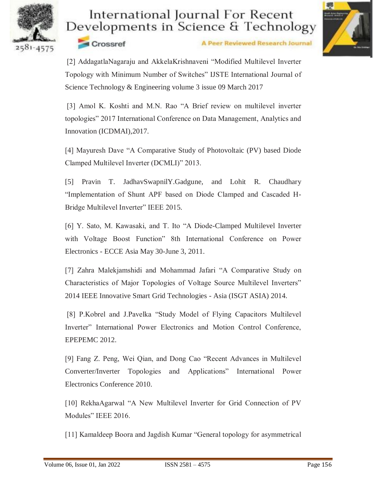



Crossref

A Peer Reviewed Research Journal

[2] AddagatlaNagaraju and AkkelaKrishnaveni "Modified Multilevel Inverter Topology with Minimum Number of Switches" IJSTE International Journal of Science Technology & Engineering volume 3 issue 09 March 2017

[3] Amol K. Koshti and M.N. Rao "A Brief review on multilevel inverter topologies" 2017 International Conference on Data Management, Analytics and Innovation (ICDMAI),2017.

[4] Mayuresh Dave "A Comparative Study of Photovoltaic (PV) based Diode Clamped Multilevel Inverter (DCMLI)" 2013.

[5] Pravin T. JadhavSwapnilY.Gadgune, and Lohit R. Chaudhary "Implementation of Shunt APF based on Diode Clamped and Cascaded H-Bridge Multilevel Inverter" IEEE 2015.

[6] Y. Sato, M. Kawasaki, and T. Ito "A Diode-Clamped Multilevel Inverter with Voltage Boost Function" 8th International Conference on Power Electronics - ECCE Asia May 30-June 3, 2011.

[7] Zahra Malekjamshidi and Mohammad Jafari "A Comparative Study on Characteristics of Major Topologies of Voltage Source Multilevel Inverters" 2014 IEEE Innovative Smart Grid Technologies - Asia (ISGT ASIA) 2014.

[8] P.Kobrel and J.Pavelka "Study Model of Flying Capacitors Multilevel Inverter" International Power Electronics and Motion Control Conference, EPEPEMC 2012.

[9] Fang Z. Peng, Wei Qian, and Dong Cao "Recent Advances in Multilevel Converter/Inverter Topologies and Applications" International Power Electronics Conference 2010.

[10] RekhaAgarwal "A New Multilevel Inverter for Grid Connection of PV Modules" IEEE 2016.

[11] Kamaldeep Boora and Jagdish Kumar "General topology for asymmetrical